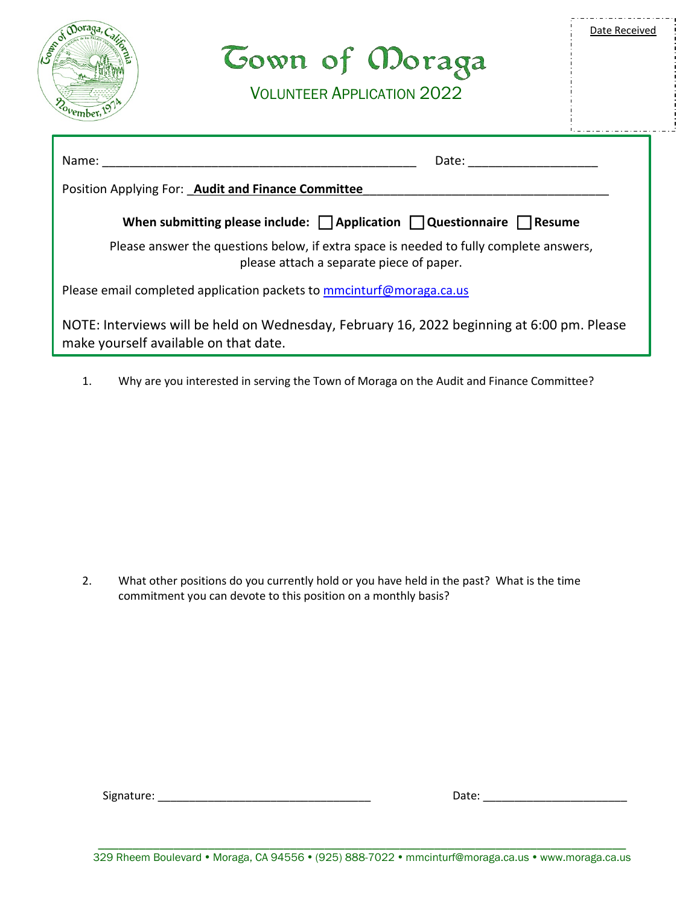| JOBS<br><i>covember</i>                                                                                                                                                                                                                 | <b><i>Cown of Moraga</i></b><br><b>VOLUNTEER APPLICATION 2022</b> | Date Received |  |
|-----------------------------------------------------------------------------------------------------------------------------------------------------------------------------------------------------------------------------------------|-------------------------------------------------------------------|---------------|--|
| Name:<br>Date: the contract of the contract of the contract of the contract of the contract of the contract of the contract of the contract of the contract of the contract of the contract of the contract of the contract of the cont |                                                                   |               |  |
| Position Applying For: Audit and Finance Committee<br>When submitting please include: $\Box$ Application $\Box$ Questionnaire $\Box$ Resume                                                                                             |                                                                   |               |  |
| Please answer the questions below, if extra space is needed to fully complete answers,<br>please attach a separate piece of paper.                                                                                                      |                                                                   |               |  |
| Please email completed application packets to <b>mmcinturf@moraga.ca.us</b>                                                                                                                                                             |                                                                   |               |  |
| NOTE: Interviews will be held on Wednesday, February 16, 2022 beginning at 6:00 pm. Please<br>make yourself available on that date.                                                                                                     |                                                                   |               |  |

1. Why are you interested in serving the Town of Moraga on the Audit and Finance Committee?

2. What other positions do you currently hold or you have held in the past? What is the time commitment you can devote to this position on a monthly basis?

Signature: \_\_\_\_\_\_\_\_\_\_\_\_\_\_\_\_\_\_\_\_\_\_\_\_\_\_\_\_\_\_\_\_\_\_ Date: \_\_\_\_\_\_\_\_\_\_\_\_\_\_\_\_\_\_\_\_\_\_\_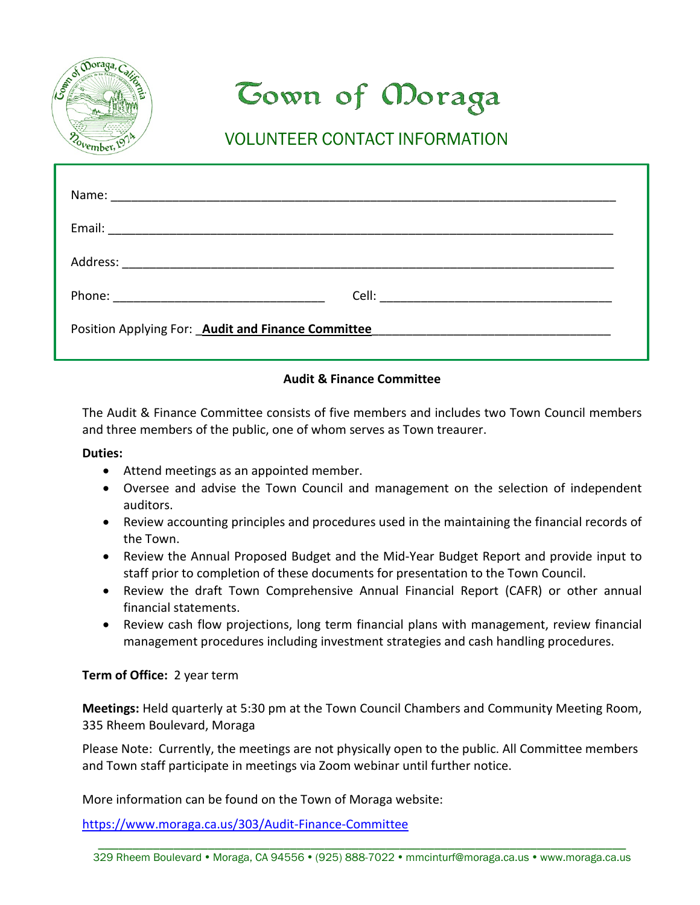

# **Cown of Moraga**

## VOLUNTEER CONTACT INFORMATION

| Position Applying For: Audit and Finance Committee |  |  |  |
|----------------------------------------------------|--|--|--|

#### **Audit & Finance Committee**

The Audit & Finance Committee consists of five members and includes two Town Council members and three members of the public, one of whom serves as Town treaurer.

#### **Duties:**

- Attend meetings as an appointed member.
- Oversee and advise the Town Council and management on the selection of independent auditors.
- Review accounting principles and procedures used in the maintaining the financial records of the Town.
- Review the Annual Proposed Budget and the Mid-Year Budget Report and provide input to staff prior to completion of these documents for presentation to the Town Council.
- Review the draft Town Comprehensive Annual Financial Report (CAFR) or other annual financial statements.
- Review cash flow projections, long term financial plans with management, review financial management procedures including investment strategies and cash handling procedures.

#### **Term of Office:** 2 year term

**Meetings:** Held quarterly at 5:30 pm at the Town Council Chambers and Community Meeting Room, 335 Rheem Boulevard, Moraga

Please Note: Currently, the meetings are not physically open to the public. All Committee members and Town staff participate in meetings via Zoom webinar until further notice.

More information can be found on the Town of Moraga website:

https://www.moraga.ca.us/303/Audit-Finance-Committee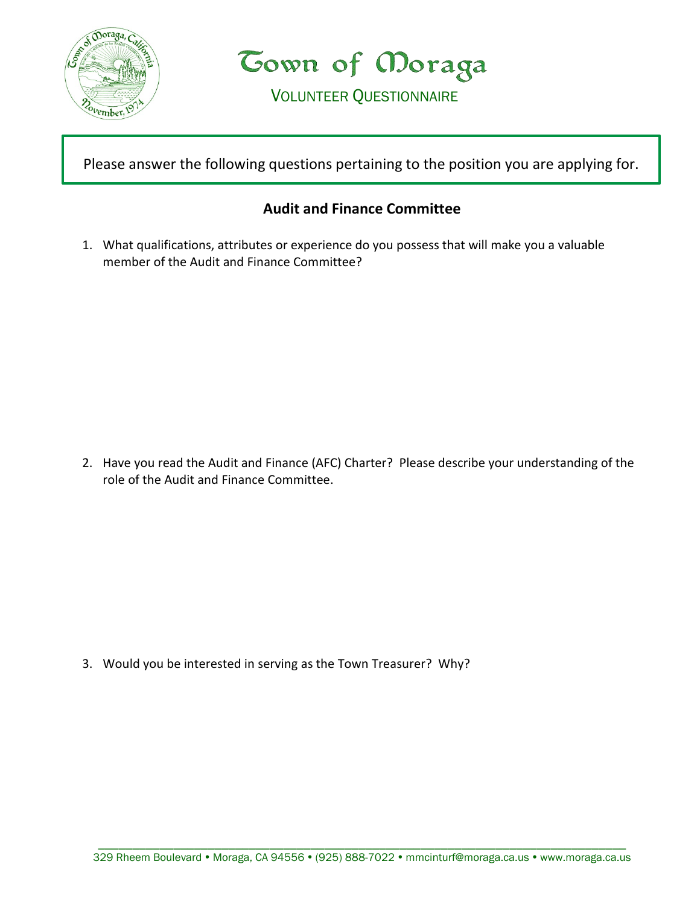

Town of Moraga

VOLUNTEER QUESTIONNAIRE

Please answer the following questions pertaining to the position you are applying for.

### **Audit and Finance Committee**

1. What qualifications, attributes or experience do you possess that will make you a valuable member of the Audit and Finance Committee?

2. Have you read the Audit and Finance (AFC) Charter? Please describe your understanding of the role of the Audit and Finance Committee.

3. Would you be interested in serving as the Town Treasurer? Why?